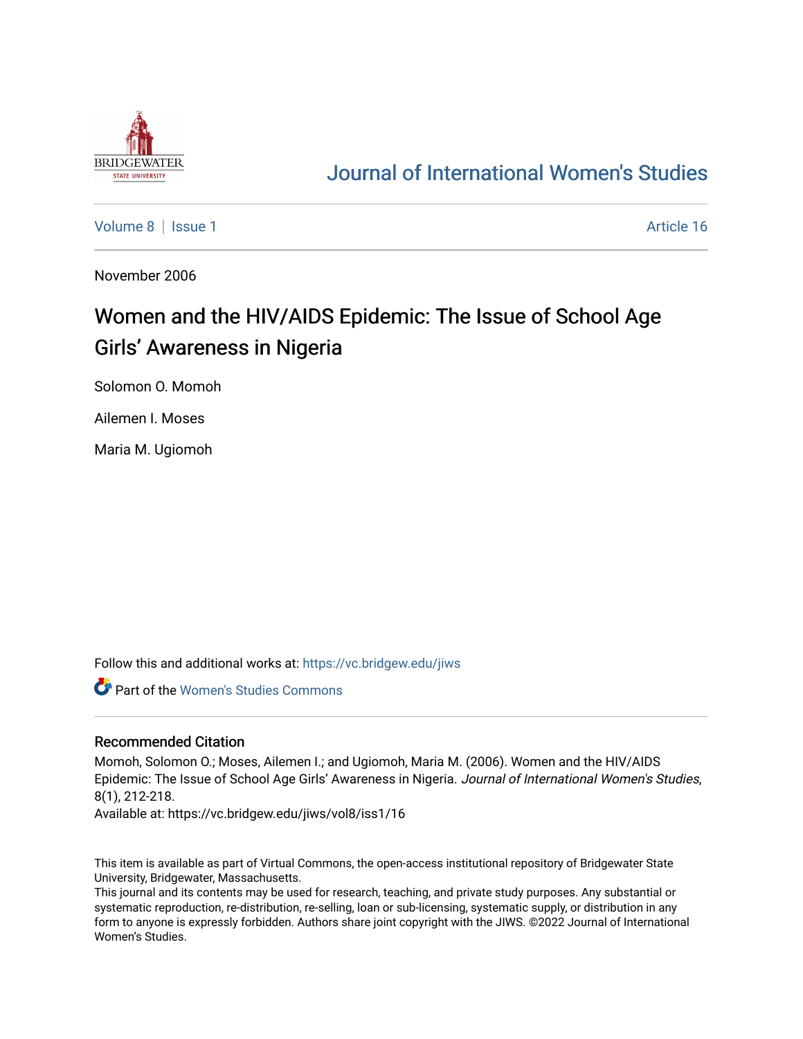

# [Journal of International Women's Studies](https://vc.bridgew.edu/jiws)

[Volume 8](https://vc.bridgew.edu/jiws/vol8) | [Issue 1](https://vc.bridgew.edu/jiws/vol8/iss1) Article 16

November 2006

# Women and the HIV/AIDS Epidemic: The Issue of School Age Girls' Awareness in Nigeria

Solomon O. Momoh

Ailemen I. Moses

Maria M. Ugiomoh

Follow this and additional works at: [https://vc.bridgew.edu/jiws](https://vc.bridgew.edu/jiws?utm_source=vc.bridgew.edu%2Fjiws%2Fvol8%2Fiss1%2F16&utm_medium=PDF&utm_campaign=PDFCoverPages)

Part of the [Women's Studies Commons](http://network.bepress.com/hgg/discipline/561?utm_source=vc.bridgew.edu%2Fjiws%2Fvol8%2Fiss1%2F16&utm_medium=PDF&utm_campaign=PDFCoverPages) 

#### Recommended Citation

Momoh, Solomon O.; Moses, Ailemen I.; and Ugiomoh, Maria M. (2006). Women and the HIV/AIDS Epidemic: The Issue of School Age Girls' Awareness in Nigeria. Journal of International Women's Studies, 8(1), 212-218.

Available at: https://vc.bridgew.edu/jiws/vol8/iss1/16

This item is available as part of Virtual Commons, the open-access institutional repository of Bridgewater State University, Bridgewater, Massachusetts.

This journal and its contents may be used for research, teaching, and private study purposes. Any substantial or systematic reproduction, re-distribution, re-selling, loan or sub-licensing, systematic supply, or distribution in any form to anyone is expressly forbidden. Authors share joint copyright with the JIWS. ©2022 Journal of International Women's Studies.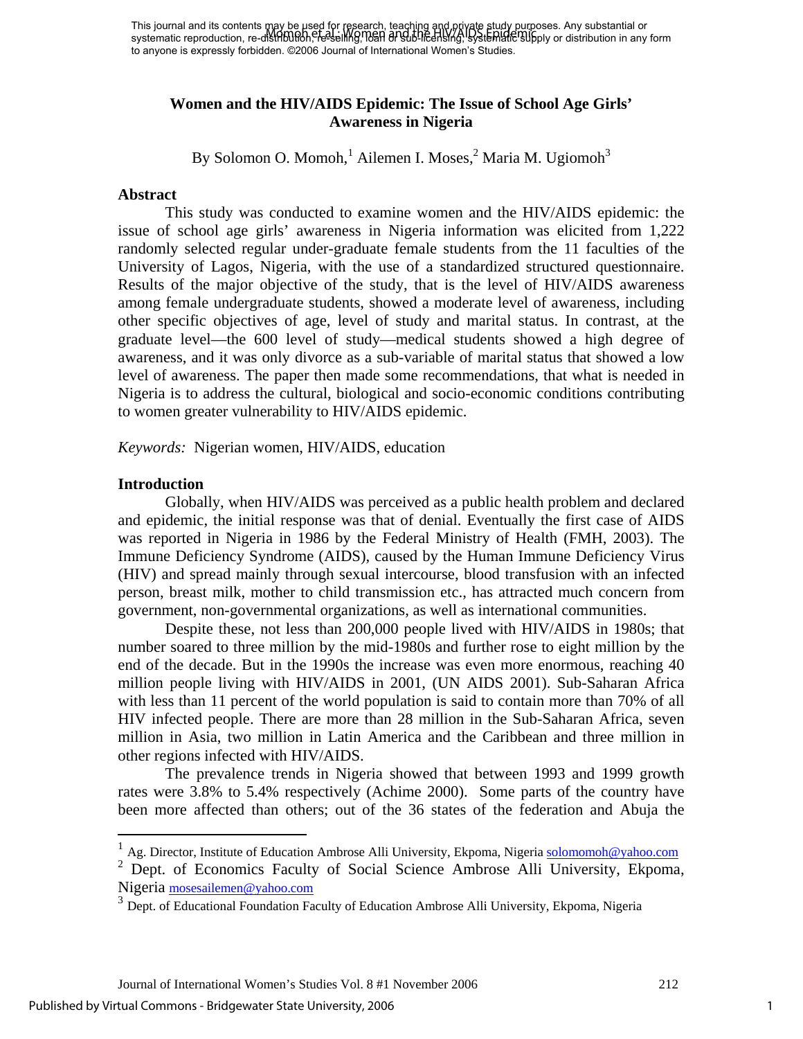## **Women and the HIV/AIDS Epidemic: The Issue of School Age Girls' Awareness in Nigeria**

By Solomon O. Momoh,<sup>[1](#page-1-0)</sup> Ailemen I. Moses,<sup>2</sup> Maria M. Ugiomoh<sup>[3](#page-1-2)</sup>

#### **Abstract**

This study was conducted to examine women and the HIV/AIDS epidemic: the issue of school age girls' awareness in Nigeria information was elicited from 1,222 randomly selected regular under-graduate female students from the 11 faculties of the University of Lagos, Nigeria, with the use of a standardized structured questionnaire. Results of the major objective of the study, that is the level of HIV/AIDS awareness among female undergraduate students, showed a moderate level of awareness, including other specific objectives of age, level of study and marital status. In contrast, at the graduate level—the 600 level of study—medical students showed a high degree of awareness, and it was only divorce as a sub-variable of marital status that showed a low level of awareness. The paper then made some recommendations, that what is needed in Nigeria is to address the cultural, biological and socio-economic conditions contributing to women greater vulnerability to HIV/AIDS epidemic.

*Keywords:* Nigerian women, HIV/AIDS, education

## **Introduction**

 $\overline{a}$ 

Globally, when HIV/AIDS was perceived as a public health problem and declared and epidemic, the initial response was that of denial. Eventually the first case of AIDS was reported in Nigeria in 1986 by the Federal Ministry of Health (FMH, 2003). The Immune Deficiency Syndrome (AIDS), caused by the Human Immune Deficiency Virus (HIV) and spread mainly through sexual intercourse, blood transfusion with an infected person, breast milk, mother to child transmission etc., has attracted much concern from government, non-governmental organizations, as well as international communities.

 Despite these, not less than 200,000 people lived with HIV/AIDS in 1980s; that number soared to three million by the mid-1980s and further rose to eight million by the end of the decade. But in the 1990s the increase was even more enormous, reaching 40 million people living with HIV/AIDS in 2001, (UN AIDS 2001). Sub-Saharan Africa with less than 11 percent of the world population is said to contain more than 70% of all HIV infected people. There are more than 28 million in the Sub-Saharan Africa, seven million in Asia, two million in Latin America and the Caribbean and three million in other regions infected with HIV/AIDS.

 The prevalence trends in Nigeria showed that between 1993 and 1999 growth rates were 3.8% to 5.4% respectively (Achime 2000). Some parts of the country have been more affected than others; out of the 36 states of the federation and Abuja the

<span id="page-1-0"></span><sup>&</sup>lt;sup>1</sup> Ag. Director, Institute of Education Ambrose Alli University, Ekpoma, Nigeria [solomomoh@yahoo.com](mailto:solomomoh@yahoo.com)

<span id="page-1-1"></span> $2$  Dept. of Economics Faculty of Social Science Ambrose Alli University, Ekpoma, Nigeria mosesailemen@yahoo.com<br><sup>3</sup> Dept. of Educational Foundation Faculty of Education Ambrose Alli University, Ekpoma, Nigeria

<span id="page-1-2"></span>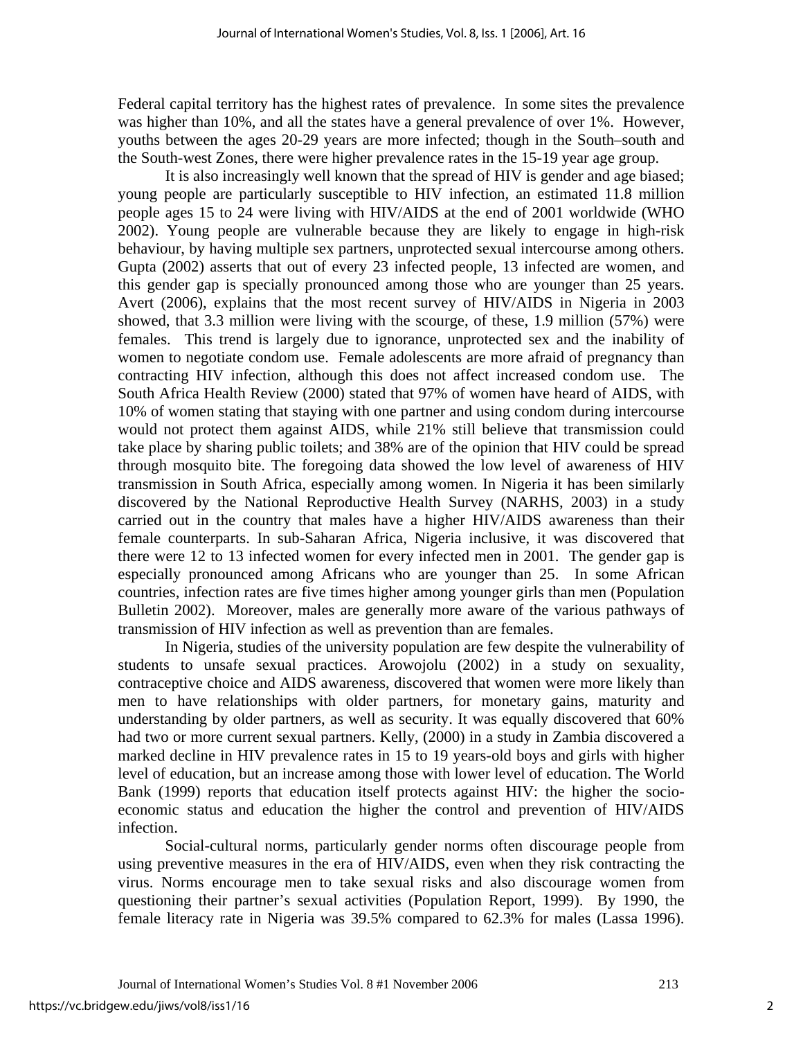Federal capital territory has the highest rates of prevalence. In some sites the prevalence was higher than 10%, and all the states have a general prevalence of over 1%. However, youths between the ages 20-29 years are more infected; though in the South–south and the South-west Zones, there were higher prevalence rates in the 15-19 year age group.

 It is also increasingly well known that the spread of HIV is gender and age biased; young people are particularly susceptible to HIV infection, an estimated 11.8 million people ages 15 to 24 were living with HIV/AIDS at the end of 2001 worldwide (WHO 2002). Young people are vulnerable because they are likely to engage in high-risk behaviour, by having multiple sex partners, unprotected sexual intercourse among others. Gupta (2002) asserts that out of every 23 infected people, 13 infected are women, and this gender gap is specially pronounced among those who are younger than 25 years. Avert (2006), explains that the most recent survey of HIV/AIDS in Nigeria in 2003 showed, that 3.3 million were living with the scourge, of these, 1.9 million (57%) were females. This trend is largely due to ignorance, unprotected sex and the inability of women to negotiate condom use. Female adolescents are more afraid of pregnancy than contracting HIV infection, although this does not affect increased condom use. The South Africa Health Review (2000) stated that 97% of women have heard of AIDS, with 10% of women stating that staying with one partner and using condom during intercourse would not protect them against AIDS, while 21% still believe that transmission could take place by sharing public toilets; and 38% are of the opinion that HIV could be spread through mosquito bite. The foregoing data showed the low level of awareness of HIV transmission in South Africa, especially among women. In Nigeria it has been similarly discovered by the National Reproductive Health Survey (NARHS, 2003) in a study carried out in the country that males have a higher HIV/AIDS awareness than their female counterparts. In sub-Saharan Africa, Nigeria inclusive, it was discovered that there were 12 to 13 infected women for every infected men in 2001. The gender gap is especially pronounced among Africans who are younger than 25. In some African countries, infection rates are five times higher among younger girls than men (Population Bulletin 2002). Moreover, males are generally more aware of the various pathways of transmission of HIV infection as well as prevention than are females.

 In Nigeria, studies of the university population are few despite the vulnerability of students to unsafe sexual practices. Arowojolu (2002) in a study on sexuality, contraceptive choice and AIDS awareness, discovered that women were more likely than men to have relationships with older partners, for monetary gains, maturity and understanding by older partners, as well as security. It was equally discovered that 60% had two or more current sexual partners. Kelly, (2000) in a study in Zambia discovered a marked decline in HIV prevalence rates in 15 to 19 years-old boys and girls with higher level of education, but an increase among those with lower level of education. The World Bank (1999) reports that education itself protects against HIV: the higher the socioeconomic status and education the higher the control and prevention of HIV/AIDS infection.

Social-cultural norms, particularly gender norms often discourage people from using preventive measures in the era of HIV/AIDS, even when they risk contracting the virus. Norms encourage men to take sexual risks and also discourage women from questioning their partner's sexual activities (Population Report, 1999). By 1990, the female literacy rate in Nigeria was 39.5% compared to 62.3% for males (Lassa 1996).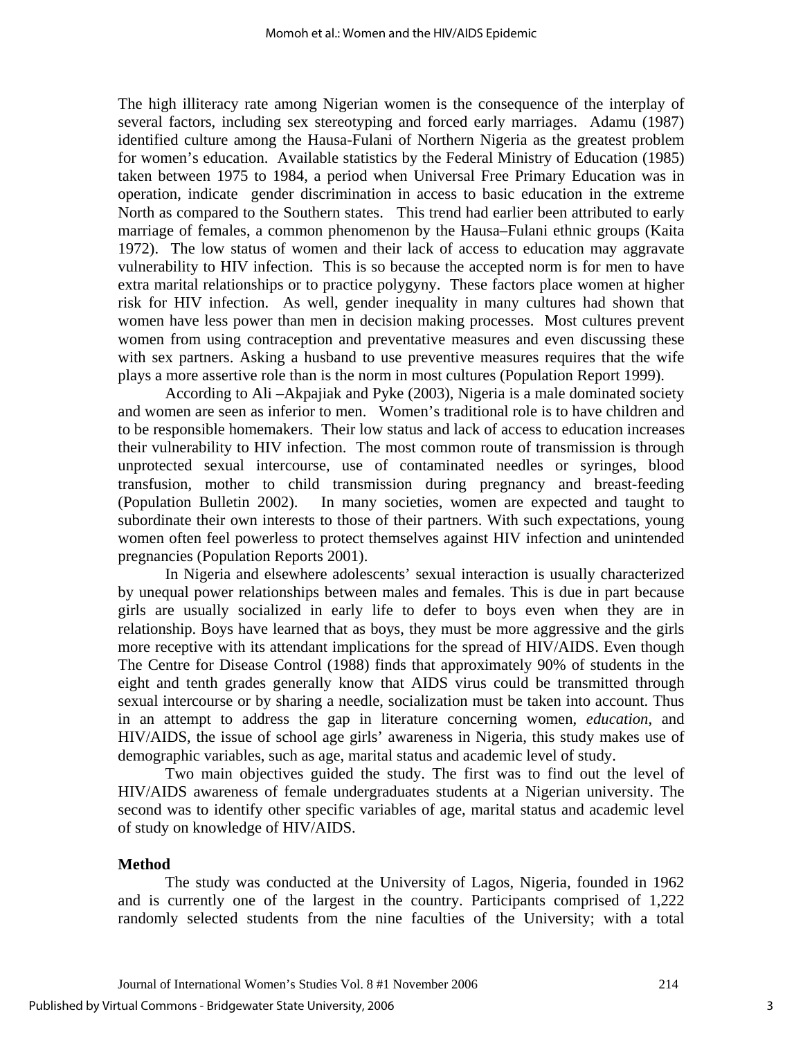The high illiteracy rate among Nigerian women is the consequence of the interplay of several factors, including sex stereotyping and forced early marriages. Adamu (1987) identified culture among the Hausa-Fulani of Northern Nigeria as the greatest problem for women's education. Available statistics by the Federal Ministry of Education (1985) taken between 1975 to 1984, a period when Universal Free Primary Education was in operation, indicate gender discrimination in access to basic education in the extreme North as compared to the Southern states. This trend had earlier been attributed to early marriage of females, a common phenomenon by the Hausa–Fulani ethnic groups (Kaita 1972). The low status of women and their lack of access to education may aggravate vulnerability to HIV infection. This is so because the accepted norm is for men to have extra marital relationships or to practice polygyny. These factors place women at higher risk for HIV infection. As well, gender inequality in many cultures had shown that women have less power than men in decision making processes. Most cultures prevent women from using contraception and preventative measures and even discussing these with sex partners. Asking a husband to use preventive measures requires that the wife plays a more assertive role than is the norm in most cultures (Population Report 1999).

 According to Ali –Akpajiak and Pyke (2003), Nigeria is a male dominated society and women are seen as inferior to men. Women's traditional role is to have children and to be responsible homemakers. Their low status and lack of access to education increases their vulnerability to HIV infection. The most common route of transmission is through unprotected sexual intercourse, use of contaminated needles or syringes, blood transfusion, mother to child transmission during pregnancy and breast-feeding (Population Bulletin 2002). In many societies, women are expected and taught to subordinate their own interests to those of their partners. With such expectations, young women often feel powerless to protect themselves against HIV infection and unintended pregnancies (Population Reports 2001).

 In Nigeria and elsewhere adolescents' sexual interaction is usually characterized by unequal power relationships between males and females. This is due in part because girls are usually socialized in early life to defer to boys even when they are in relationship. Boys have learned that as boys, they must be more aggressive and the girls more receptive with its attendant implications for the spread of HIV/AIDS. Even though The Centre for Disease Control (1988) finds that approximately 90% of students in the eight and tenth grades generally know that AIDS virus could be transmitted through sexual intercourse or by sharing a needle, socialization must be taken into account. Thus in an attempt to address the gap in literature concerning women, *education*, and HIV/AIDS, the issue of school age girls' awareness in Nigeria, this study makes use of demographic variables, such as age, marital status and academic level of study.

 Two main objectives guided the study. The first was to find out the level of HIV/AIDS awareness of female undergraduates students at a Nigerian university. The second was to identify other specific variables of age, marital status and academic level of study on knowledge of HIV/AIDS.

## **Method**

 The study was conducted at the University of Lagos, Nigeria, founded in 1962 and is currently one of the largest in the country. Participants comprised of 1,222 randomly selected students from the nine faculties of the University; with a total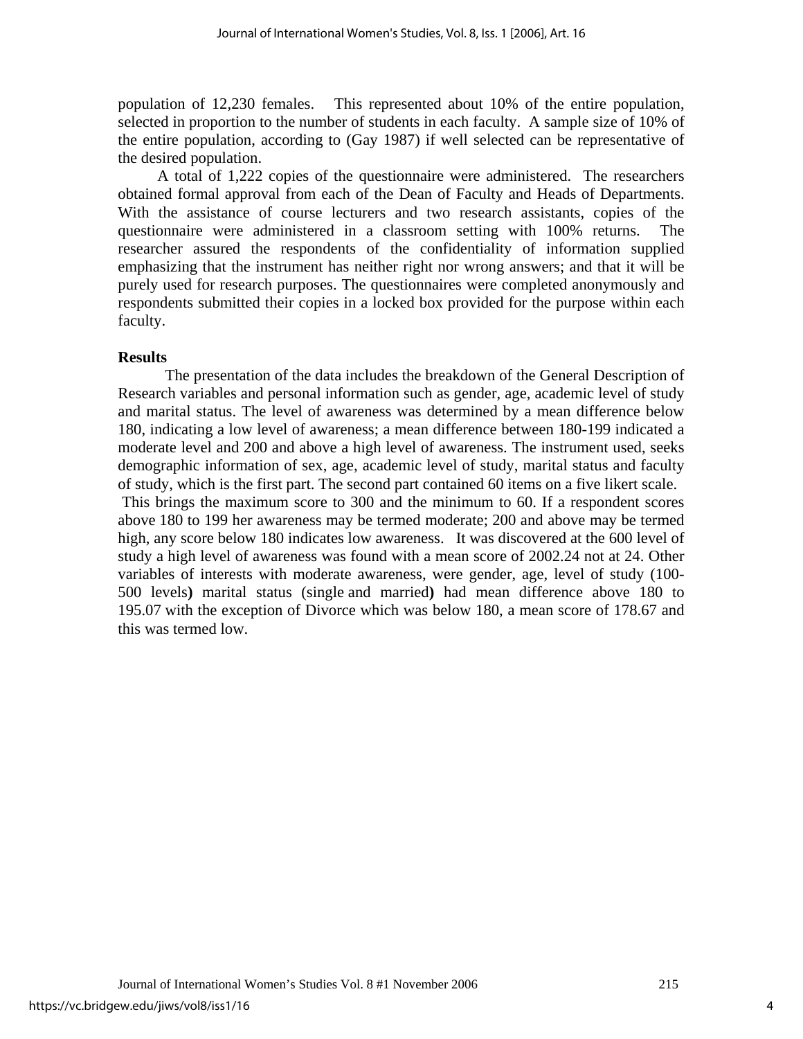population of 12,230 females. This represented about 10% of the entire population, selected in proportion to the number of students in each faculty. A sample size of 10% of the entire population, according to (Gay 1987) if well selected can be representative of the desired population.

 A total of 1,222 copies of the questionnaire were administered. The researchers obtained formal approval from each of the Dean of Faculty and Heads of Departments. With the assistance of course lecturers and two research assistants, copies of the questionnaire were administered in a classroom setting with 100% returns. The researcher assured the respondents of the confidentiality of information supplied emphasizing that the instrument has neither right nor wrong answers; and that it will be purely used for research purposes. The questionnaires were completed anonymously and respondents submitted their copies in a locked box provided for the purpose within each faculty.

#### **Results**

The presentation of the data includes the breakdown of the General Description of Research variables and personal information such as gender, age, academic level of study and marital status. The level of awareness was determined by a mean difference below 180, indicating a low level of awareness; a mean difference between 180-199 indicated a moderate level and 200 and above a high level of awareness. The instrument used, seeks demographic information of sex, age, academic level of study, marital status and faculty of study, which is the first part. The second part contained 60 items on a five likert scale. This brings the maximum score to 300 and the minimum to 60. If a respondent scores above 180 to 199 her awareness may be termed moderate; 200 and above may be termed high, any score below 180 indicates low awareness. It was discovered at the 600 level of study a high level of awareness was found with a mean score of 2002.24 not at 24. Other variables of interests with moderate awareness, were gender, age, level of study (100- 500 levels**)** marital status (single and married**)** had mean difference above 180 to 195.07 with the exception of Divorce which was below 180, a mean score of 178.67 and this was termed low.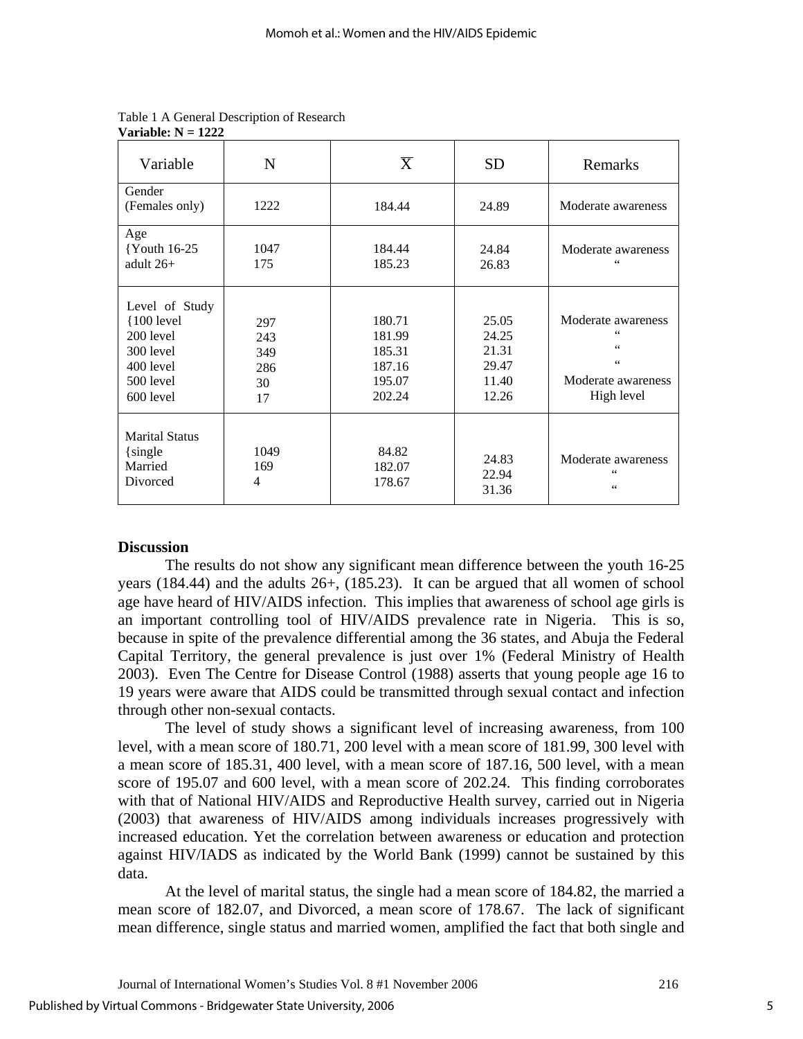| Variable                                                                                      | N                                    | $\overline{X}$                                           | <b>SD</b>                                          | Remarks                                                                                        |
|-----------------------------------------------------------------------------------------------|--------------------------------------|----------------------------------------------------------|----------------------------------------------------|------------------------------------------------------------------------------------------------|
| Gender<br>(Females only)                                                                      | 1222                                 | 184.44                                                   | 24.89                                              | Moderate awareness                                                                             |
| Age<br><b>Youth 16-25</b><br>adult $26+$                                                      | 1047<br>175                          | 184.44<br>185.23                                         | 24.84<br>26.83                                     | Moderate awareness<br>66                                                                       |
| Level of Study<br>{100 level<br>200 level<br>300 level<br>400 level<br>500 level<br>600 level | 297<br>243<br>349<br>286<br>30<br>17 | 180.71<br>181.99<br>185.31<br>187.16<br>195.07<br>202.24 | 25.05<br>24.25<br>21.31<br>29.47<br>11.40<br>12.26 | Moderate awareness<br>66<br>$\leq$ $\leq$<br>$\leq$ $\leq$<br>Moderate awareness<br>High level |
| <b>Marital Status</b><br>$\{\text{single}$<br>Married<br>Divorced                             | 1049<br>169<br>4                     | 84.82<br>182.07<br>178.67                                | 24.83<br>22.94<br>31.36                            | Moderate awareness<br>66<br>66                                                                 |

Table 1 A General Description of Research **Variable: N = 1222** 

## **Discussion**

 The results do not show any significant mean difference between the youth 16-25 years (184.44) and the adults 26+, (185.23). It can be argued that all women of school age have heard of HIV/AIDS infection. This implies that awareness of school age girls is an important controlling tool of HIV/AIDS prevalence rate in Nigeria. This is so, because in spite of the prevalence differential among the 36 states, and Abuja the Federal Capital Territory, the general prevalence is just over 1% (Federal Ministry of Health 2003). Even The Centre for Disease Control (1988) asserts that young people age 16 to 19 years were aware that AIDS could be transmitted through sexual contact and infection through other non-sexual contacts.

 The level of study shows a significant level of increasing awareness, from 100 level, with a mean score of 180.71, 200 level with a mean score of 181.99, 300 level with a mean score of 185.31, 400 level, with a mean score of 187.16, 500 level, with a mean score of 195.07 and 600 level, with a mean score of 202.24. This finding corroborates with that of National HIV/AIDS and Reproductive Health survey, carried out in Nigeria (2003) that awareness of HIV/AIDS among individuals increases progressively with increased education. Yet the correlation between awareness or education and protection against HIV/IADS as indicated by the World Bank (1999) cannot be sustained by this data.

 At the level of marital status, the single had a mean score of 184.82, the married a mean score of 182.07, and Divorced, a mean score of 178.67. The lack of significant mean difference, single status and married women, amplified the fact that both single and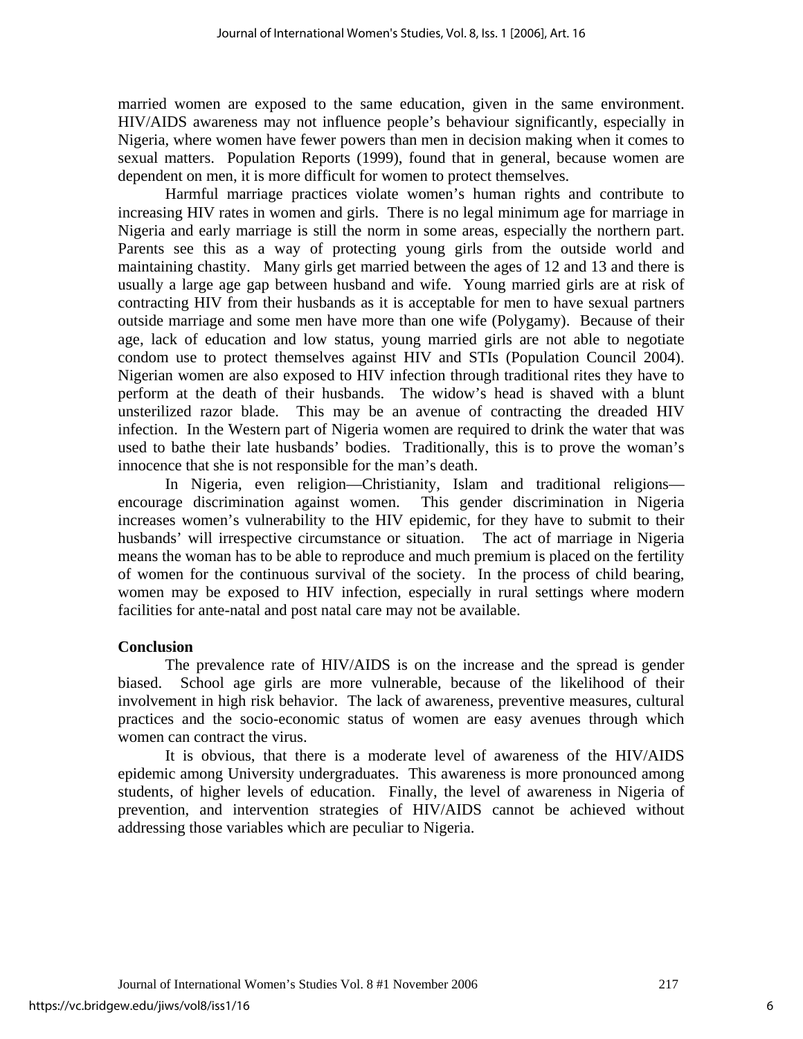married women are exposed to the same education, given in the same environment. HIV/AIDS awareness may not influence people's behaviour significantly, especially in Nigeria, where women have fewer powers than men in decision making when it comes to sexual matters. Population Reports (1999), found that in general, because women are dependent on men, it is more difficult for women to protect themselves.

Harmful marriage practices violate women's human rights and contribute to increasing HIV rates in women and girls. There is no legal minimum age for marriage in Nigeria and early marriage is still the norm in some areas, especially the northern part. Parents see this as a way of protecting young girls from the outside world and maintaining chastity. Many girls get married between the ages of 12 and 13 and there is usually a large age gap between husband and wife. Young married girls are at risk of contracting HIV from their husbands as it is acceptable for men to have sexual partners outside marriage and some men have more than one wife (Polygamy). Because of their age, lack of education and low status, young married girls are not able to negotiate condom use to protect themselves against HIV and STIs (Population Council 2004). Nigerian women are also exposed to HIV infection through traditional rites they have to perform at the death of their husbands. The widow's head is shaved with a blunt unsterilized razor blade. This may be an avenue of contracting the dreaded HIV infection. In the Western part of Nigeria women are required to drink the water that was used to bathe their late husbands' bodies. Traditionally, this is to prove the woman's innocence that she is not responsible for the man's death.

In Nigeria, even religion—Christianity, Islam and traditional religions encourage discrimination against women. This gender discrimination in Nigeria increases women's vulnerability to the HIV epidemic, for they have to submit to their husbands' will irrespective circumstance or situation. The act of marriage in Nigeria means the woman has to be able to reproduce and much premium is placed on the fertility of women for the continuous survival of the society. In the process of child bearing, women may be exposed to HIV infection, especially in rural settings where modern facilities for ante-natal and post natal care may not be available.

## **Conclusion**

 The prevalence rate of HIV/AIDS is on the increase and the spread is gender biased. School age girls are more vulnerable, because of the likelihood of their involvement in high risk behavior. The lack of awareness, preventive measures, cultural practices and the socio-economic status of women are easy avenues through which women can contract the virus.

It is obvious, that there is a moderate level of awareness of the HIV/AIDS epidemic among University undergraduates. This awareness is more pronounced among students, of higher levels of education. Finally, the level of awareness in Nigeria of prevention, and intervention strategies of HIV/AIDS cannot be achieved without addressing those variables which are peculiar to Nigeria.